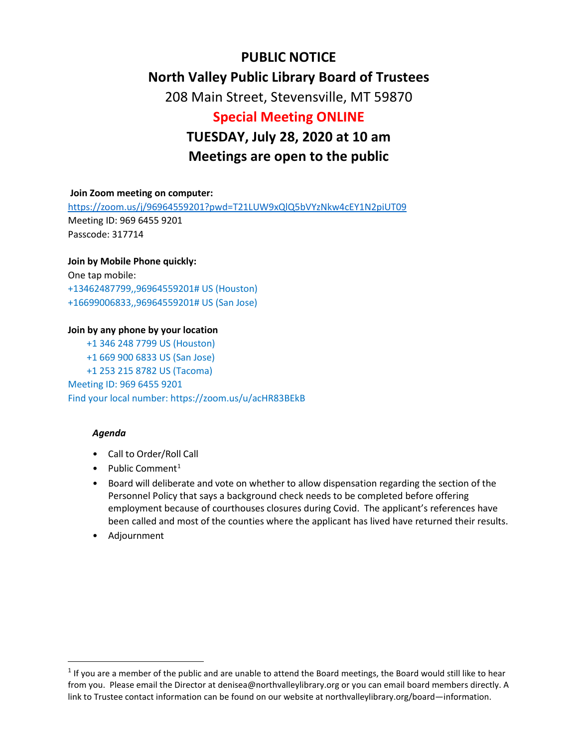## **PUBLIC NOTICE North Valley Public Library Board of Trustees**  208 Main Street, Stevensville, MT 59870 **Special Meeting ONLINE**

# **TUESDAY, July 28, 2020 at 10 am Meetings are open to the public**

## **Join Zoom meeting on computer:**

<https://zoom.us/j/96964559201?pwd=T21LUW9xQlQ5bVYzNkw4cEY1N2piUT09> Meeting ID: 969 6455 9201 Passcode: 317714

## **Join by Mobile Phone quickly:**

One tap mobile: +13462487799,,96964559201# US (Houston) +16699006833,,96964559201# US (San Jose)

## **Join by any phone by your location**

 +1 346 248 7799 US (Houston) +1 669 900 6833 US (San Jose) +1 253 215 8782 US (Tacoma) Meeting ID: 969 6455 9201 Find your local number: https://zoom.us/u/acHR83BEkB

#### *Agenda*

- Call to Order/Roll Call
- Public Comment<sup>[1](#page-0-0)</sup>
- Board will deliberate and vote on whether to allow dispensation regarding the section of the Personnel Policy that says a background check needs to be completed before offering employment because of courthouses closures during Covid. The applicant's references have been called and most of the counties where the applicant has lived have returned their results.
- Adjournment

<span id="page-0-0"></span> $1$  If you are a member of the public and are unable to attend the Board meetings, the Board would still like to hear from you. Please email the Director at denisea@northvalleylibrary.org or you can email board members directly. A link to Trustee contact information can be found on our website at northvalleylibrary.org/board—information.